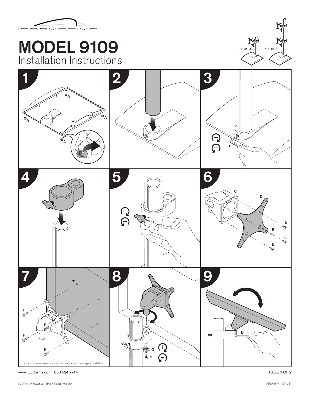

## MODEL 9109 Installation Instructions





www.LCDarms.com 800.524.2744 PAGE 1 OF 2